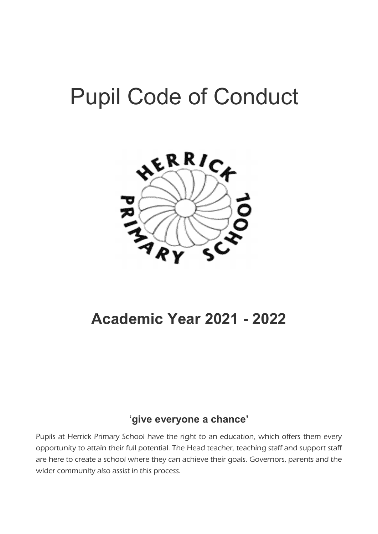# Pupil Code of Conduct



## Academic Year 2021 - 2022

### 'give everyone a chance'

Pupils at Herrick Primary School have the right to an education, which offers them every opportunity to attain their full potential. The Head teacher, teaching staff and support staff are here to create a school where they can achieve their goals. Governors, parents and the wider community also assist in this process.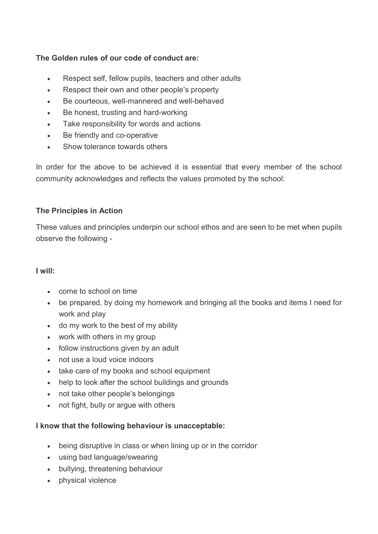#### The Golden rules of our code of conduct are:

- Respect self, fellow pupils, teachers and other adults
- Respect their own and other people's property
- Be courteous, well-mannered and well-behaved
- Be honest, trusting and hard-working
- Take responsibility for words and actions
- Be friendly and co-operative
- Show tolerance towards others

In order for the above to be achieved it is essential that every member of the school community acknowledges and reflects the values promoted by the school:

#### The Principles in Action

These values and principles underpin our school ethos and are seen to be met when pupils observe the following -

#### I will:

- come to school on time
- be prepared, by doing my homework and bringing all the books and items I need for work and play
- do my work to the best of my ability
- work with others in my group
- follow instructions given by an adult
- not use a loud voice indoors
- take care of my books and school equipment
- help to look after the school buildings and grounds
- not take other people's belongings
- not fight, bully or argue with others

#### I know that the following behaviour is unacceptable:

- being disruptive in class or when lining up or in the corridor
- using bad language/swearing
- bullying, threatening behaviour
- physical violence